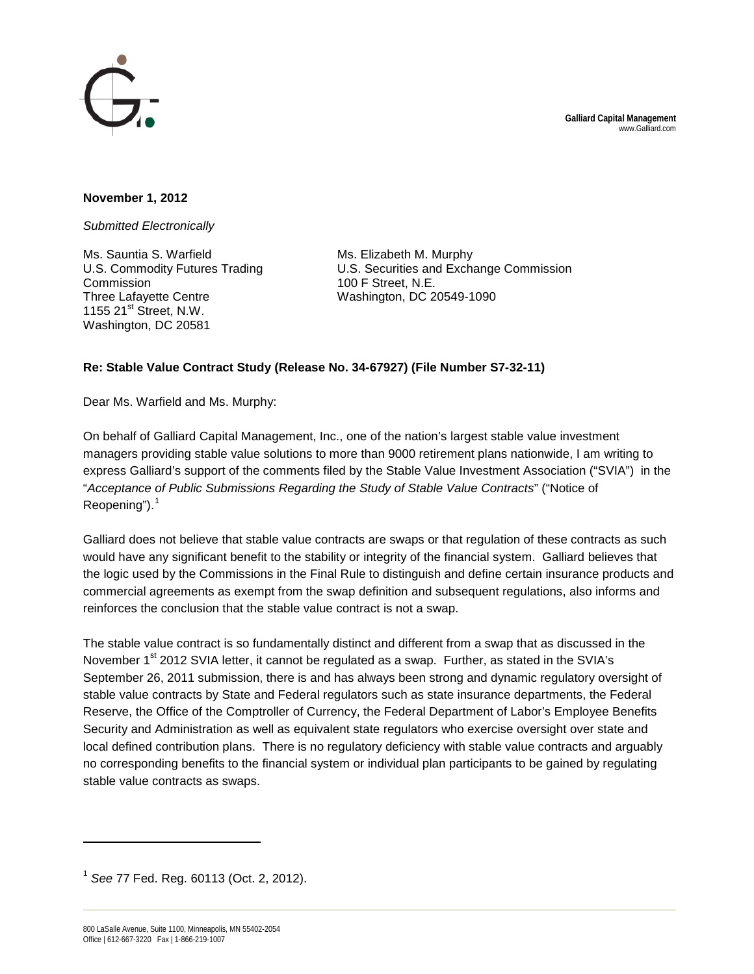

## **November 1, 2012**

*Submitted Electronically*

Ms. Sauntia S. Warfield U.S. Commodity Futures Trading Commission Three Lafayette Centre 1155  $21^{st}$  Street, N.W. Washington, DC 20581

Ms. Elizabeth M. Murphy U.S. Securities and Exchange Commission 100 F Street, N.E. Washington, DC 20549-1090

## **Re: Stable Value Contract Study (Release No. 34-67927) (File Number S7-32-11)**

Dear Ms. Warfield and Ms. Murphy:

On behalf of Galliard Capital Management, Inc., one of the nation's largest stable value investment managers providing stable value solutions to more than 9000 retirement plans nationwide, I am writing to express Galliard's support of the comments filed by the Stable Value Investment Association ("SVIA") in the "*Acceptance of Public Submissions Regarding the Study of Stable Value Contracts*" ("Notice of Reopening"). $<sup>1</sup>$  $<sup>1</sup>$  $<sup>1</sup>$ </sup>

Galliard does not believe that stable value contracts are swaps or that regulation of these contracts as such would have any significant benefit to the stability or integrity of the financial system. Galliard believes that the logic used by the Commissions in the Final Rule to distinguish and define certain insurance products and commercial agreements as exempt from the swap definition and subsequent regulations, also informs and reinforces the conclusion that the stable value contract is not a swap.

The stable value contract is so fundamentally distinct and different from a swap that as discussed in the November 1<sup>st</sup> 2012 SVIA letter, it cannot be regulated as a swap. Further, as stated in the SVIA's September 26, 2011 submission, there is and has always been strong and dynamic regulatory oversight of stable value contracts by State and Federal regulators such as state insurance departments, the Federal Reserve, the Office of the Comptroller of Currency, the Federal Department of Labor's Employee Benefits Security and Administration as well as equivalent state regulators who exercise oversight over state and local defined contribution plans. There is no regulatory deficiency with stable value contracts and arguably no corresponding benefits to the financial system or individual plan participants to be gained by regulating stable value contracts as swaps.

 $\overline{a}$ 

<span id="page-0-0"></span><sup>1</sup> *See* 77 Fed. Reg. 60113 (Oct. 2, 2012).